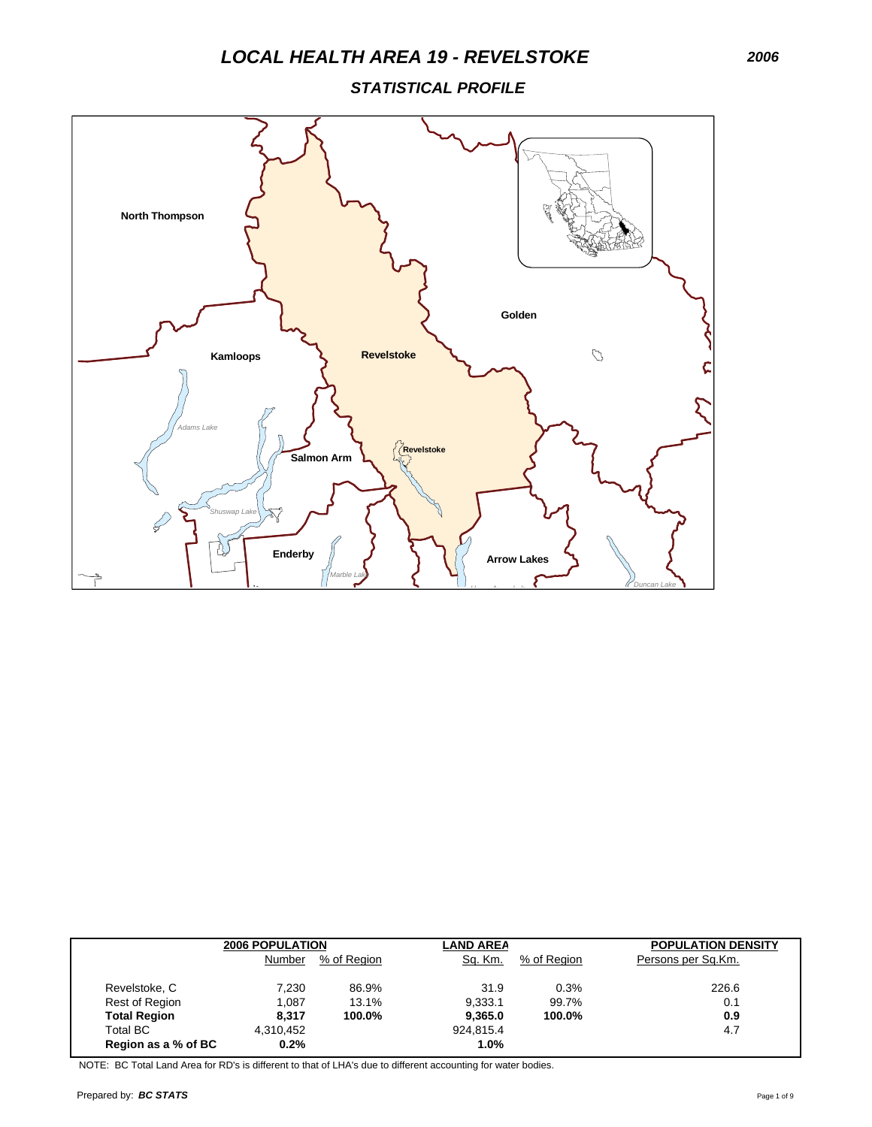*STATISTICAL PROFILE*



|                     | <b>2006 POPULATION</b> |             | <b>LAND AREA</b> |             | <b>POPULATION DENSITY</b> |  |
|---------------------|------------------------|-------------|------------------|-------------|---------------------------|--|
|                     | Number                 | % of Region | Sq. Km.          | % of Region | Persons per Sq.Km.        |  |
| Revelstoke, C       | 7.230                  | 86.9%       | 31.9             | 0.3%        | 226.6                     |  |
| Rest of Region      | 1.087                  | 13.1%       | 9.333.1          | 99.7%       | 0.1                       |  |
| <b>Total Region</b> | 8.317                  | 100.0%      | 9.365.0          | 100.0%      | 0.9                       |  |
| <b>Total BC</b>     | 4.310.452              |             | 924.815.4        |             | 4.7                       |  |
| Region as a % of BC | 0.2%                   |             | $1.0\%$          |             |                           |  |

NOTE: BC Total Land Area for RD's is different to that of LHA's due to different accounting for water bodies.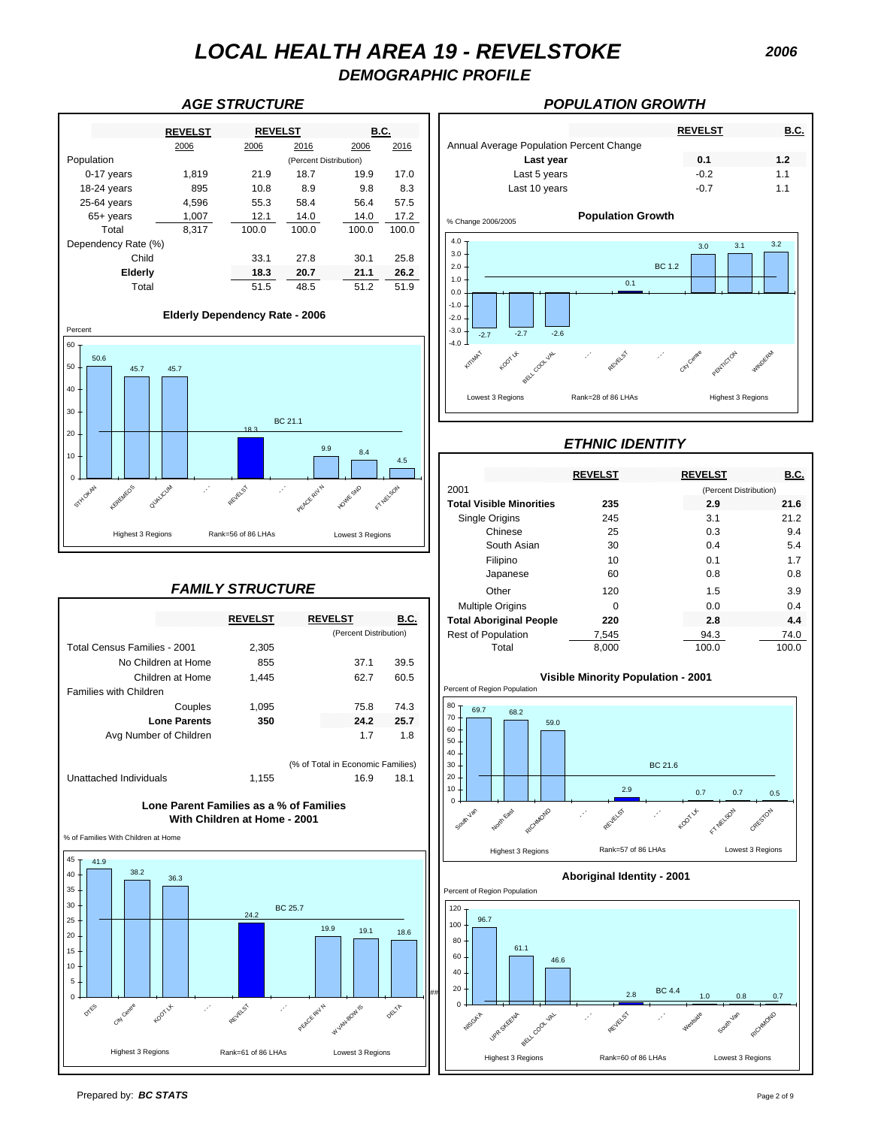*DEMOGRAPHIC PROFILE*



### *FAMILY STRUCTURE*

|                              | <b>REVELST</b> | <b>REVELST</b>                    | B.C. |
|------------------------------|----------------|-----------------------------------|------|
|                              |                | (Percent Distribution)            |      |
| Total Census Families - 2001 | 2,305          |                                   |      |
| No Children at Home          | 855            | 37.1                              | 39.5 |
| Children at Home             | 1.445          | 62.7                              | 60.5 |
| Families with Children       |                |                                   |      |
| Couples                      | 1,095          | 75.8                              | 74.3 |
| <b>Lone Parents</b>          | 350            | 24.2                              | 25.7 |
| Avg Number of Children       |                | 1.7                               | 1.8  |
|                              |                | (% of Total in Economic Families) |      |
| Unattached Individuals       | 1,155          | 16.9                              | 181  |

### **With Children at Home - 2001 Lone Parent Families as a % of Families**

% of Families With Children at Home



### *AGE STRUCTURE POPULATION GROWTH*



## *ETHNIC IDENTITY*

|                                        |                         | 4.5                           |                                 | <b>REVELST</b> | <b>REVELST</b>         | <b>B.C.</b> |
|----------------------------------------|-------------------------|-------------------------------|---------------------------------|----------------|------------------------|-------------|
| RECINEOS<br><b>INALICUM</b><br>STHOKAN | REVELST                 | <b>NEWSON</b><br>OWK SND      | 2001                            |                | (Percent Distribution) |             |
|                                        |                         | PEACE RIV N                   | <b>Total Visible Minorities</b> | 235            | 2.9                    | 21.6        |
|                                        |                         |                               | Single Origins                  | 245            | 3.1                    | 21.2        |
| <b>Highest 3 Regions</b>               | Rank=56 of 86 LHAs      | Lowest 3 Regions              | Chinese                         | 25             | 0.3                    | 9.4         |
|                                        |                         |                               | South Asian                     | 30             | 0.4                    | 5.4         |
|                                        |                         |                               | Filipino                        | 10             | 0.1                    | 1.7         |
|                                        |                         |                               | Japanese                        | 60             | 0.8                    | 0.8         |
|                                        | <b>FAMILY STRUCTURE</b> |                               | Other                           | 120            | 1.5                    | 3.9         |
|                                        |                         |                               | <b>Multiple Origins</b>         | $\Omega$       | 0.0                    | 0.4         |
|                                        | <b>REVELST</b>          | <b>REVELST</b><br><b>B.C.</b> | <b>Total Aboriginal People</b>  | 220            | 2.8                    | 4.4         |
|                                        |                         | (Percent Distribution)        | Rest of Population              | 7,545          | 94.3                   | 74.0        |
| Total Census Families - 2001           | 2,305                   |                               | Total                           | 8,000          | 100.0                  | 100.0       |
|                                        |                         |                               |                                 |                |                        |             |





Prepared by: *BC STATS* Page 2 of 9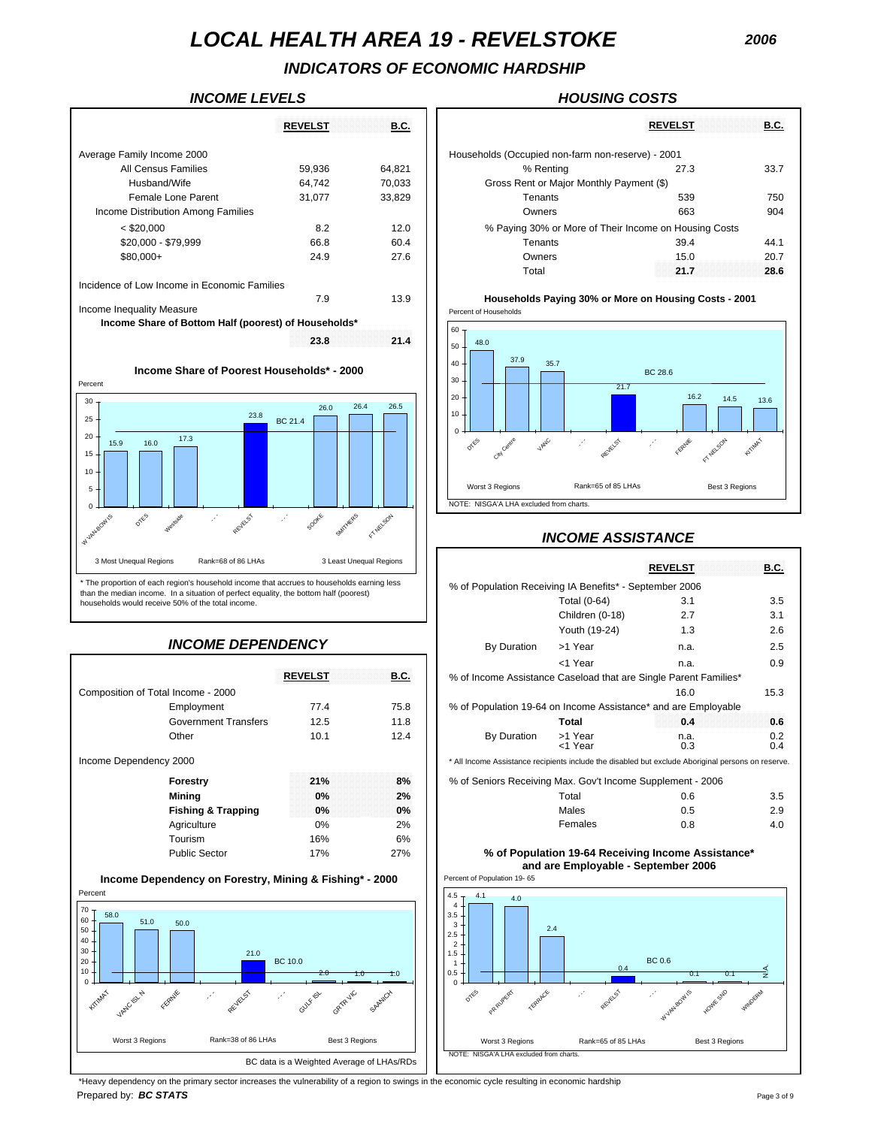# *INDICATORS OF ECONOMIC HARDSHIP*

|                                                      | <b>REVELST</b> | <b>B.C.</b> |                                                   | <b>REVELST</b>                                        | <u>B.C.</u> |
|------------------------------------------------------|----------------|-------------|---------------------------------------------------|-------------------------------------------------------|-------------|
| Average Family Income 2000                           |                |             | Households (Occupied non-farm non-reserve) - 2001 |                                                       |             |
| All Census Families                                  | 59,936         | 64,821      | % Renting                                         | 27.3                                                  | 33.7        |
| Husband/Wife                                         | 64,742         | 70,033      | Gross Rent or Major Monthly Payment (\$)          |                                                       |             |
| Female Lone Parent                                   | 31,077         | 33,829      | Tenants                                           | 539                                                   | 750         |
| Income Distribution Among Families                   |                |             | Owners                                            | 663                                                   | 904         |
| $<$ \$20,000                                         | 8.2            | 12.0        |                                                   | % Paying 30% or More of Their Income on Housing Costs |             |
| \$20,000 - \$79,999                                  | 66.8           | 60.4        | Tenants                                           | 39.4                                                  | 44.1        |
| $$80.000+$                                           | 24.9           | 27.6        | Owners                                            | 15.0                                                  | 20.7        |
|                                                      |                |             | Total                                             | 21.7                                                  | 28.6        |
| Incidence of Low Income in Economic Families         |                |             |                                                   |                                                       |             |
|                                                      | 7.9            | 13.9        |                                                   | Households Paying 30% or More on Housing Costs - 2001 |             |
| Income Inequality Measure                            |                |             | Percent of Households                             |                                                       |             |
| Income Share of Bottom Half (poorest) of Households* |                |             | 60 <sub>7</sub>                                   |                                                       |             |
|                                                      | 23.8           | 21.4        | 48.0<br>$50-$<br>37.9<br>35.7<br>40               |                                                       |             |

**Income Share of Poorest Households\* - 2000**



than the median income. In a situation of perfect equality, the bottom half (poorest) households would receive 50% of the total income.

## *INCOME DEPENDENCY*

|                                                                                                                                            |                                            |                      |                                                                                                                      | <1 Year              | n.a.                                               | 0.9                                |
|--------------------------------------------------------------------------------------------------------------------------------------------|--------------------------------------------|----------------------|----------------------------------------------------------------------------------------------------------------------|----------------------|----------------------------------------------------|------------------------------------|
|                                                                                                                                            | <b>REVELST</b>                             | <b>B.C.</b>          | % of Income Assistance Caseload that are Single Parent Families*                                                     |                      |                                                    |                                    |
| Composition of Total Income - 2000                                                                                                         |                                            |                      |                                                                                                                      |                      | 16.0                                               | 15.3                               |
| Employment                                                                                                                                 | 77.4                                       | 75.8                 | % of Population 19-64 on Income Assistance* and are Employable                                                       |                      |                                                    |                                    |
| <b>Government Transfers</b>                                                                                                                | 12.5                                       | 11.8                 |                                                                                                                      | <b>Total</b>         | 0.4                                                | 0.6                                |
| Other                                                                                                                                      | 10.1                                       | 12.4                 | By Duration                                                                                                          | >1 Year<br><1 Year   | n.a.<br>0.3                                        | 0.2<br>0.4                         |
| Income Dependency 2000                                                                                                                     |                                            |                      | * All Income Assistance recipients include the disabled but exclude Aboriginal persons on reserve.                   |                      |                                                    |                                    |
| Forestry                                                                                                                                   | 21%                                        | 8%                   | % of Seniors Receiving Max. Gov't Income Supplement - 2006                                                           |                      |                                                    |                                    |
| <b>Mining</b>                                                                                                                              | 0%                                         | 2%                   |                                                                                                                      | Total                | 0.6                                                | 3.5                                |
| <b>Fishing &amp; Trapping</b>                                                                                                              | 0%                                         | 0%                   |                                                                                                                      | <b>Males</b>         | 0.5                                                | 2.9                                |
| Agriculture                                                                                                                                | 0%                                         | 2%                   |                                                                                                                      | Females              | 0.8                                                | 4.0                                |
| Tourism                                                                                                                                    | 16%                                        | 6%                   |                                                                                                                      |                      |                                                    |                                    |
| <b>Public Sector</b>                                                                                                                       | 17%                                        | 27%                  |                                                                                                                      |                      | % of Population 19-64 Receiving Income Assistance* |                                    |
|                                                                                                                                            |                                            |                      |                                                                                                                      |                      | and are Employable - September 2006                |                                    |
| Income Dependency on Forestry, Mining & Fishing* - 2000                                                                                    |                                            |                      | Percent of Population 19-65                                                                                          |                      |                                                    |                                    |
| Percent                                                                                                                                    |                                            |                      | $4.5 +$<br>4.1<br>4.0                                                                                                |                      |                                                    |                                    |
| 70<br>58.0<br>60<br>51.0<br>50.0<br>50<br>40<br>30<br>21.0<br>20<br>10<br>$\mathbf 0$<br>VAND ISL N<br><b>HITIMAX</b><br>REVELST<br>FERNIE | <b>BC 10.0</b><br>2.0<br>opipyc<br>GULFIEL | T.O<br>1.0<br>SAANOX | $3.5 -$<br>3<br>2.5<br>$\overline{2}$<br>$1.5 +$<br>$\mathbf{1}$<br>0.5<br>$\Omega$<br>0769<br>PR RUPERT<br>TERRARCE | 2.4<br>04<br>REVELST | BC 0.6<br>0.1<br>0.1<br>W VALVBOWLS<br>Hollyk Stap | $\frac{4}{2}$<br><b>WITHD ERMA</b> |
| Rank=38 of 86 LHAs<br>Worst 3 Regions                                                                                                      | Best 3 Regions                             |                      | Worst 3 Regions                                                                                                      | Rank=65 of 85 LHAs   | Best 3 Regions                                     |                                    |
|                                                                                                                                            | BC data is a Weighted Average of LHAs/RDs  |                      | NOTE: NISGA'A LHA excluded from charts.                                                                              |                      |                                                    |                                    |

### *INCOME LEVELS HOUSING COSTS*

|                               | <b>REVELST</b> | <b>B.C.</b> |                                                       | <b>REVELST</b> | <b>B.C.</b> |
|-------------------------------|----------------|-------------|-------------------------------------------------------|----------------|-------------|
| amily Income 2000             |                |             | Households (Occupied non-farm non-reserve) - 2001     |                |             |
| All Census Families           | 59.936         | 64,821      | % Renting                                             | 27.3           | 33.7        |
| Husband/Wife                  | 64,742         | 70,033      | Gross Rent or Major Monthly Payment (\$)              |                |             |
| Female Lone Parent            | 31.077         | 33.829      | Tenants                                               | 539            | 750         |
| e Distribution Among Families |                |             | Owners                                                | 663            | 904         |
| < \$20.000                    | 8.2            | 12.0        | % Paying 30% or More of Their Income on Housing Costs |                |             |
| \$20,000 - \$79,999           | 66.8           | 60.4        | Tenants                                               | 39.4           | 44.1        |
| \$80.000+                     | 24.9           | 27.6        | Owners                                                | 15.0           | 20.7        |
|                               |                |             | Total                                                 | 21.7           | 28.6        |



## *INCOME ASSISTANCE*

| ١S<br>RANK=bB OT BB LHAS                                                                   |                | 3 Least Unequal Regions |                                                                                                    |                    | <b>REVELST</b> | <b>B.C.</b> |
|--------------------------------------------------------------------------------------------|----------------|-------------------------|----------------------------------------------------------------------------------------------------|--------------------|----------------|-------------|
| egion's household income that accrues to households earning less                           |                |                         | % of Population Receiving IA Benefits* - September 2006                                            |                    |                |             |
| In a situation of perfect equality, the bottom half (poorest)<br>.50% of the total income. |                |                         |                                                                                                    | Total (0-64)       | 3.1            | 3.5         |
|                                                                                            |                |                         |                                                                                                    | Children (0-18)    | 2.7            | 3.1         |
|                                                                                            |                |                         |                                                                                                    | Youth (19-24)      | 1.3            | 2.6         |
| INCOME DEPENDENCY                                                                          |                |                         | By Duration                                                                                        | >1 Year            | n.a.           | 2.5         |
|                                                                                            |                |                         |                                                                                                    | <1 Year            | n.a.           | 0.9         |
|                                                                                            | <b>REVELST</b> | <b>B.C.</b>             | % of Income Assistance Caseload that are Single Parent Families*                                   |                    |                |             |
| Income - 2000                                                                              |                |                         |                                                                                                    |                    | 16.0           | 15.3        |
| Employment                                                                                 | 77.4           | 75.8                    | % of Population 19-64 on Income Assistance* and are Employable                                     |                    |                |             |
| Government Transfers                                                                       | 12.5           | 11.8                    |                                                                                                    | Total              | 0.4            | 0.6         |
| Other                                                                                      | 10.1           | 12.4                    | By Duration                                                                                        | >1 Year<br><1 Year | n.a.<br>0.3    | 0.2<br>0.4  |
| 2000                                                                                       |                |                         | * All Income Assistance recipients include the disabled but exclude Aboriginal persons on reserve. |                    |                |             |
| Forestry                                                                                   | 21%            | 8%                      | % of Seniors Receiving Max. Gov't Income Supplement - 2006                                         |                    |                |             |
| Mining                                                                                     | 0%             | 2%                      |                                                                                                    | Total              | 0.6            | 3.5         |
|                                                                                            |                |                         |                                                                                                    |                    |                |             |

| Males   | 0.5 | 2.9 |
|---------|-----|-----|
| Females | 0.8 | 4.( |
|         |     |     |



\*Heavy dependency on the primary sector increases the vulnerability of a region to swings in the economic cycle resulting in economic hardship Prepared by: *BC STATS* Page 3 of 9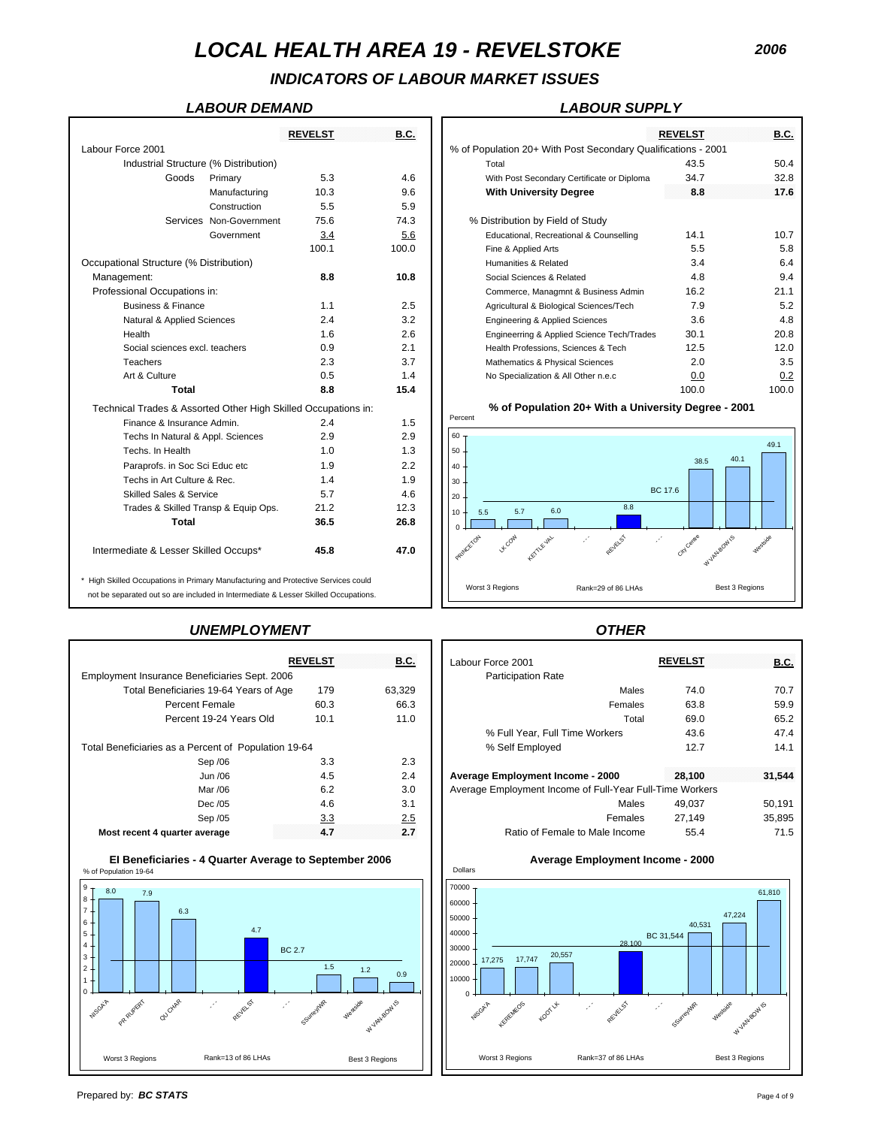# *INDICATORS OF LABOUR MARKET ISSUES*

### *LABOUR DEMAND LABOUR SUPPLY*

|                                                                                    |                         | <b>REVELST</b> | <b>B.C.</b> |                 |                                           |                                                               | <b>REVELST</b> | B.C.                          |
|------------------------------------------------------------------------------------|-------------------------|----------------|-------------|-----------------|-------------------------------------------|---------------------------------------------------------------|----------------|-------------------------------|
| Labour Force 2001                                                                  |                         |                |             |                 |                                           | % of Population 20+ With Post Secondary Qualifications - 2001 |                |                               |
| Industrial Structure (% Distribution)                                              |                         |                |             |                 | Total                                     |                                                               | 43.5           | 50.4                          |
| Goods                                                                              | Primary                 | 5.3            | 4.6         |                 |                                           | With Post Secondary Certificate or Diploma                    | 34.7           | 32.8                          |
|                                                                                    | Manufacturing           | 10.3           | 9.6         |                 | <b>With University Degree</b>             |                                                               | 8.8            | 17.6                          |
|                                                                                    | Construction            | 5.5            | 5.9         |                 |                                           |                                                               |                |                               |
|                                                                                    | Services Non-Government | 75.6           | 74.3        |                 | % Distribution by Field of Study          |                                                               |                |                               |
|                                                                                    | Government              | 3.4            | 5.6         |                 |                                           | Educational, Recreational & Counselling                       | 14.1           | 10.7                          |
|                                                                                    |                         | 100.1          | 100.0       |                 | Fine & Applied Arts                       |                                                               | 5.5            | 5.8                           |
| Occupational Structure (% Distribution)                                            |                         |                |             |                 | Humanities & Related                      |                                                               | 3.4            | 6.4                           |
| Management:                                                                        |                         | 8.8            | 10.8        |                 | Social Sciences & Related                 |                                                               | 4.8            | 9.4                           |
| Professional Occupations in:                                                       |                         |                |             |                 |                                           | Commerce, Managmnt & Business Admin                           | 16.2           | 21.1                          |
| <b>Business &amp; Finance</b>                                                      |                         | 1.1            | 2.5         |                 |                                           | Agricultural & Biological Sciences/Tech                       | 7.9            | 5.2                           |
| Natural & Applied Sciences                                                         |                         | 2.4            | 3.2         |                 | <b>Engineering &amp; Applied Sciences</b> |                                                               | 3.6            | 4.8                           |
| Health                                                                             |                         | 1.6            | 2.6         |                 |                                           | Engineerring & Applied Science Tech/Trades                    | 30.1           | 20.8                          |
| Social sciences excl. teachers                                                     |                         | 0.9            | 2.1         |                 |                                           | Health Professions, Sciences & Tech                           | 12.5           | 12.0                          |
| Teachers                                                                           |                         | 2.3            | 3.7         |                 | Mathematics & Physical Sciences           |                                                               | 2.0            | 3.5                           |
| Art & Culture                                                                      |                         | 0.5            | 1.4         |                 | No Specialization & All Other n.e.c       |                                                               | 0.0            | 0.2                           |
| Total                                                                              |                         | 8.8            | 15.4        |                 |                                           |                                                               | 100.0          | 100.0                         |
| Technical Trades & Assorted Other High Skilled Occupations in:                     |                         |                |             |                 |                                           | % of Population 20+ With a University Degree - 2001           |                |                               |
| Finance & Insurance Admin.                                                         |                         | 2.4            | 1.5         | Percent         |                                           |                                                               |                |                               |
| Techs In Natural & Appl. Sciences                                                  |                         | 2.9            | 2.9         | 60              |                                           |                                                               |                |                               |
| Techs. In Health                                                                   |                         | 1.0            | 1.3         | 50 <sub>1</sub> |                                           |                                                               |                | 49.1                          |
| Paraprofs. in Soc Sci Educ etc                                                     |                         | 1.9            | 2.2         | 40              |                                           |                                                               | 38.5           | 40.1                          |
| Techs in Art Culture & Rec.                                                        |                         | 1.4            | 1.9         | 30              |                                           |                                                               |                |                               |
| <b>Skilled Sales &amp; Service</b>                                                 |                         | 5.7            | 4.6         | 20              |                                           |                                                               | <b>BC 17.6</b> |                               |
| Trades & Skilled Transp & Equip Ops.                                               |                         | 21.2           | 12.3        | 10              | 5.7<br>5.5                                | 8.8<br>6.0                                                    |                |                               |
| Total                                                                              |                         | 36.5           | 26.8        |                 |                                           |                                                               |                |                               |
| Intermediate & Lesser Skilled Occups*                                              |                         | 45.8           | 47.0        | PRINCETON       | <b>VECON</b><br>KETTLE VAL                | REVELST<br>P.                                                 | City Centre    | W VANSONIS<br><b>Westside</b> |
| * High Skilled Occupations in Primary Manufacturing and Protective Services could  |                         |                |             |                 | Worst 3 Regions                           | Rank=29 of 86 LHAs                                            |                | Best 3 Regions                |
| not be separated out so are included in Intermediate & Lesser Skilled Occupations. |                         |                |             |                 |                                           |                                                               |                |                               |

## *UNEMPLOYMENT OTHER*

|                                                      | <b>REVELST</b> | B.C.   | Labour Force 2001         |
|------------------------------------------------------|----------------|--------|---------------------------|
| Employment Insurance Beneficiaries Sept. 2006        |                |        | <b>Participation Rate</b> |
| Total Beneficiaries 19-64 Years of Age               | 179            | 63.329 |                           |
| Percent Female                                       | 60.3           | 66.3   |                           |
| Percent 19-24 Years Old                              | 10.1           | 11.0   |                           |
|                                                      |                |        | % Full Year, Full 1       |
| Total Beneficiaries as a Percent of Population 19-64 |                |        | % Self Employed           |
| Sep /06                                              | 3.3            | 2.3    |                           |
| Jun /06                                              | 4.5            | 2.4    | Average Employment In     |
| Mar /06                                              | 6.2            | 3.0    | Average Employment Inco   |
| Dec /05                                              | 4.6            | 3.1    |                           |
| Sep /05                                              | 3.3            | 2.5    |                           |
| Most recent 4 quarter average                        | 4.7            | 2.7    | Ratio of Fema             |
|                                                      |                |        |                           |





|                                 |                                       | <b>REVELST</b> | <b>B.C.</b> |                                                               | <b>REVELST</b> | <b>B.C.</b>   |
|---------------------------------|---------------------------------------|----------------|-------------|---------------------------------------------------------------|----------------|---------------|
| orce 2001                       |                                       |                |             | % of Population 20+ With Post Secondary Qualifications - 2001 |                |               |
|                                 | Industrial Structure (% Distribution) |                |             | Total                                                         | 43.5           | 50.4          |
| Goods                           | Primary                               | 5.3            | 4.6         | With Post Secondary Certificate or Diploma                    | 34.7           | 32.8          |
|                                 | Manufacturing                         | 10.3           | 9.6         | <b>With University Degree</b>                                 | 8.8            | 17.6          |
|                                 | Construction                          | 5.5            | 5.9         |                                                               |                |               |
|                                 | Services Non-Government               | 75.6           | 74.3        | % Distribution by Field of Study                              |                |               |
|                                 | Government                            | 3.4            | 5.6         | Educational, Recreational & Counselling                       | 14.1           | 10.7          |
|                                 |                                       | 100.1          | 100.0       | Fine & Applied Arts                                           | 5.5            | 5.8           |
| onal Structure (% Distribution) |                                       |                |             | Humanities & Related                                          | 3.4            | 6.4           |
| ement:                          |                                       | 8.8            | 10.8        | Social Sciences & Related                                     | 4.8            | 9.4           |
| sional Occupations in:          |                                       |                |             | Commerce, Managmnt & Business Admin                           | 16.2           | 21.1          |
| <b>Business &amp; Finance</b>   |                                       | 1.1            | 2.5         | Agricultural & Biological Sciences/Tech                       | 7.9            | 5.2           |
| Natural & Applied Sciences      |                                       | 2.4            | 3.2         | Engineering & Applied Sciences                                | 3.6            | 4.8           |
| Health                          |                                       | 1.6            | 2.6         | Engineerring & Applied Science Tech/Trades                    | 30.1           | 20.8          |
| Social sciences excl. teachers  |                                       | 0.9            | 2.1         | Health Professions, Sciences & Tech                           | 12.5           | 12.0          |
| Teachers                        |                                       | 2.3            | 3.7         | Mathematics & Physical Sciences                               | 2.0            | 3.5           |
| Art & Culture                   |                                       | 0.5            | 1.4         | No Specialization & All Other n.e.c                           | 0.0            | 0.2           |
| $7 - 4 - 1$                     |                                       | $\sim$ $\sim$  | .           |                                                               | $\sqrt{2}$     | $\sim$ $\sim$ |

### **% of Population 20+ With a University Degree - 2001**



|                                                      | <b>REVELST</b> | <b>B.C.</b> | Labour Force 2001                                        | <b>REVELST</b> | <b>B.C.</b> |
|------------------------------------------------------|----------------|-------------|----------------------------------------------------------|----------------|-------------|
| Employment Insurance Beneficiaries Sept. 2006        |                |             | <b>Participation Rate</b>                                |                |             |
| Total Beneficiaries 19-64 Years of Age               | 179            | 63.329      | Males                                                    | 74.0           | 70.7        |
| Percent Female                                       | 60.3           | 66.3        | Females                                                  | 63.8           | 59.9        |
| Percent 19-24 Years Old                              | 10.1           | 11.0        | Total                                                    | 69.0           | 65.2        |
|                                                      |                |             | % Full Year, Full Time Workers                           | 43.6           | 47.4        |
| Total Beneficiaries as a Percent of Population 19-64 |                |             | % Self Employed                                          | 12.7           | 14.1        |
| Sep /06                                              | 3.3            | 2.3         |                                                          |                |             |
| Jun /06                                              | 4.5            | 2.4         | Average Employment Income - 2000                         | 28.100         | 31,544      |
| Mar /06                                              | 6.2            | 3.0         | Average Employment Income of Full-Year Full-Time Workers |                |             |
| Dec /05                                              | 4.6            | 3.1         | Males                                                    | 49.037         | 50,191      |
| Sep /05                                              | 3.3            | 2.5         | Females                                                  | 27.149         | 35.895      |
| Most recent 4 quarter average                        | 4.7            | 2.7         | Ratio of Female to Male Income                           | 55.4           | 71.5        |



Dollars

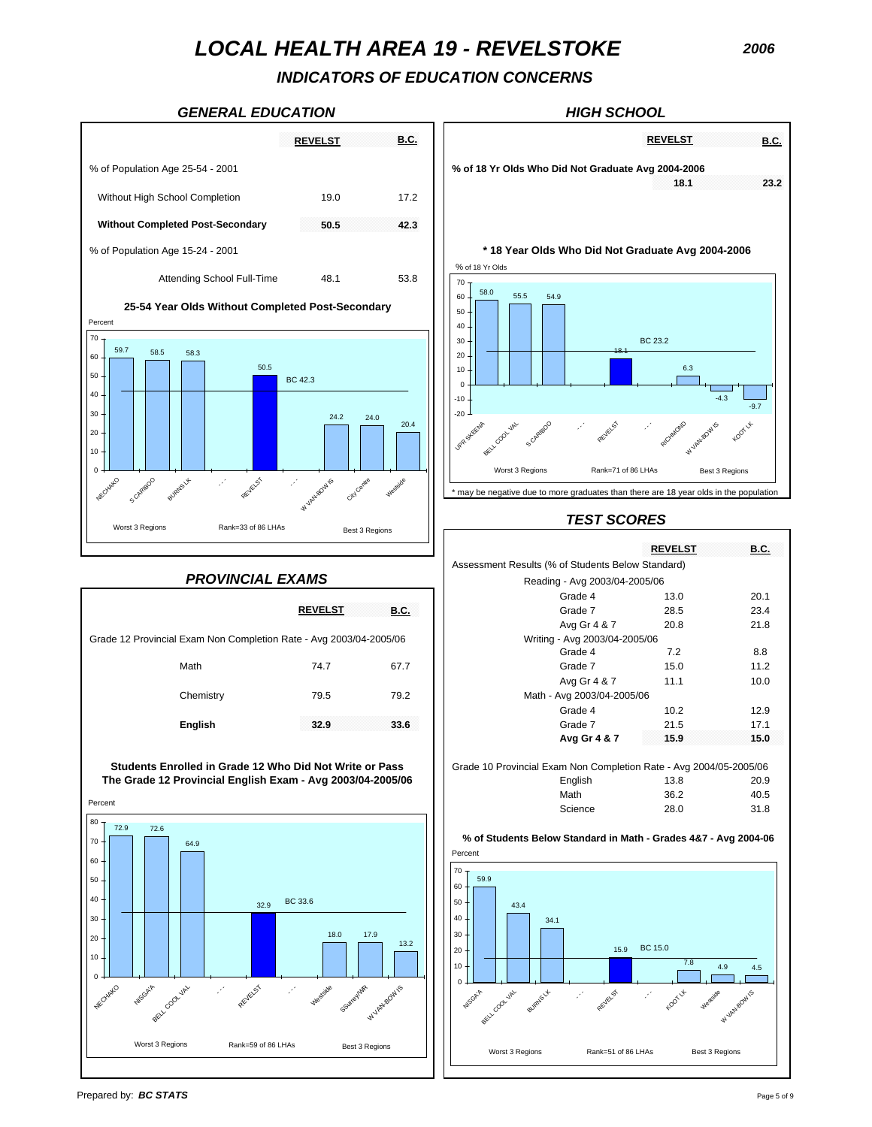*INDICATORS OF EDUCATION CONCERNS*

### *GENERAL EDUCATION HIGH SCHOOL*





### *TEST SCORES*

|           |                                                |             |                                                                    | <b>REVELST</b> | <b>B.C.</b> |
|-----------|------------------------------------------------|-------------|--------------------------------------------------------------------|----------------|-------------|
|           |                                                |             | Assessment Results (% of Students Below Standard)                  |                |             |
|           | <b>PROVINCIAL EXAMS</b>                        |             | Reading - Avg 2003/04-2005/06                                      |                |             |
|           |                                                |             | Grade 4                                                            | 13.0           | 20.1        |
|           | <b>REVELST</b>                                 | <b>B.C.</b> | Grade 7                                                            | 28.5           | 23.4        |
|           |                                                |             | Avg Gr 4 & 7                                                       | 20.8           | 21.8        |
|           | Exam Non Completion Rate - Avg 2003/04-2005/06 |             | Writing - Avg 2003/04-2005/06                                      |                |             |
|           |                                                |             | Grade 4                                                            | 7.2            | 8.8         |
| Math      | 74.7                                           | 67.7        | Grade 7                                                            | 15.0           | 11.2        |
|           |                                                |             | Avg Gr 4 & 7                                                       | 11.1           | 10.0        |
| Chemistry | 79.5                                           | 79.2        | Math - Avg 2003/04-2005/06                                         |                |             |
|           |                                                |             | Grade 4                                                            | 10.2           | 12.9        |
| English   | 32.9                                           | 33.6        | Grade 7                                                            | 21.5           | 17.1        |
|           |                                                |             | Avg Gr 4 & 7                                                       | 15.9           | 15.0        |
|           | olled in Grade 12 Who Did Not Write or Pass    |             | Grade 10 Provincial Exam Non Completion Rate - Avg 2004/05-2005/06 |                |             |
|           | rovincial English Exam - Avg 2003/04-2005/06   |             | English                                                            | 13.8           | 20.9        |

Math 36.2 40.5

Science 28.0 31.8 **% of Students Below Standard in Math - Grades 4&7 - Avg 2004-06** Percent 4.9 4.5 34.1 43.4 59.9 15.9 BC 15.0  $\Omega$ 10 20 30 40 50 60 70 S.GAi Cool Val BURNS LA - - - **REVELST** - - koorut Westside W VAN BOWIS

Worst 3 Regions Rank=51 of 86 LHAs Best 3 Regions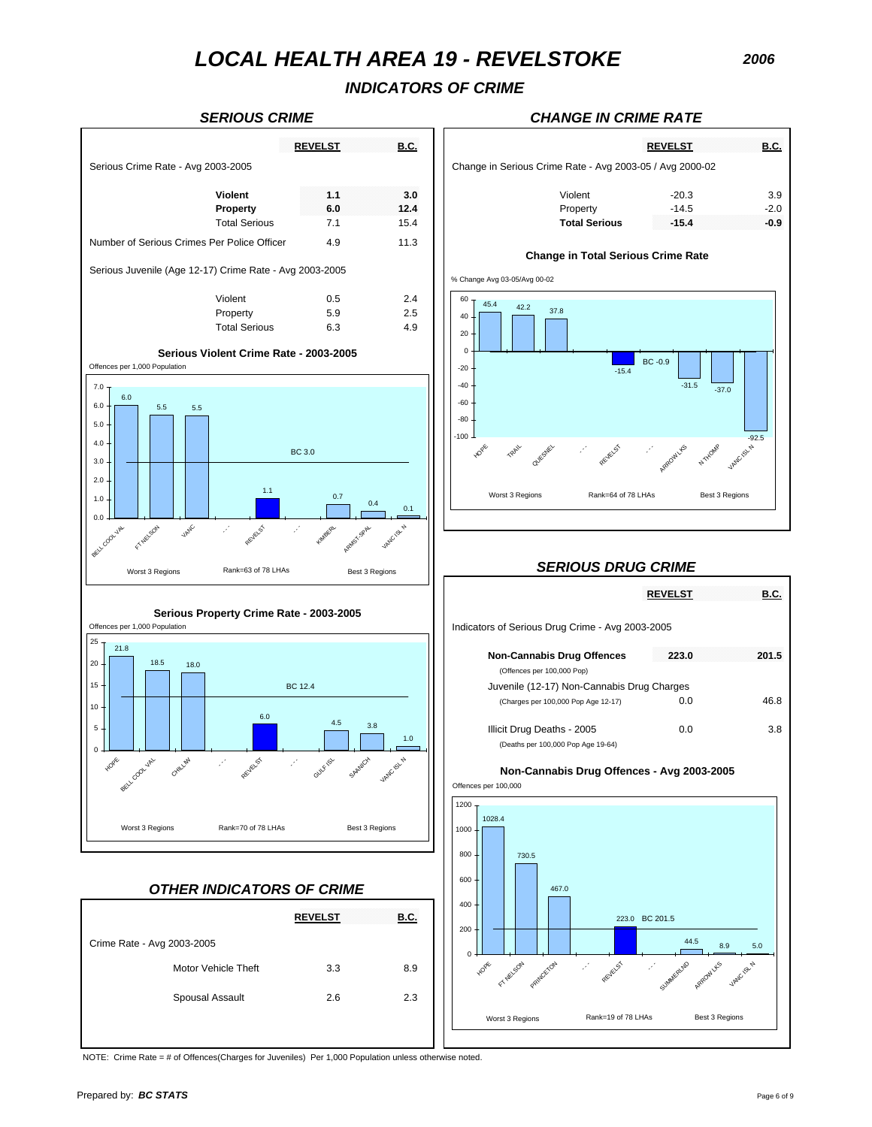## *INDICATORS OF CRIME*



### *SERIOUS CRIME CHANGE IN CRIME RATE*

| <b><i><u>ALCOHOL: 2001</u></i></b><br><b>STATISTICS</b><br><b>STATISTICS</b><br><b>Service Control</b><br><b>STATISTICS</b><br><b>STATISTICS</b><br><b>STATISTICS</b> |                                   |      |                                                          |                                                                |  |
|-----------------------------------------------------------------------------------------------------------------------------------------------------------------------|-----------------------------------|------|----------------------------------------------------------|----------------------------------------------------------------|--|
| 03-2005                                                                                                                                                               |                                   |      | Change in Serious Crime Rate - Avg 2003-05 / Avg 2000-02 |                                                                |  |
|                                                                                                                                                                       | .                                 |      |                                                          |                                                                |  |
|                                                                                                                                                                       | <b>AND REPORTS</b><br>.<br>.<br>. |      |                                                          | $-14.5$                                                        |  |
|                                                                                                                                                                       |                                   | 15.4 | Total Serious                                            | .<br><br><b>ALCOHOL:</b><br><b>ALCOHOL:</b><br><b>ALCOHOL:</b> |  |
|                                                                                                                                                                       |                                   |      |                                                          |                                                                |  |

### **Change in Total Serious Crime Rate**

% Change Avg 03-05/Avg 00-02



### *SERIOUS DRUG CRIME*

|                                                                  | <b>REVELST</b> | B.C.  |
|------------------------------------------------------------------|----------------|-------|
| Indicators of Serious Drug Crime - Avg 2003-2005                 |                |       |
| <b>Non-Cannabis Drug Offences</b><br>(Offences per 100,000 Pop)  | 223.0          | 201.5 |
| Juvenile (12-17) Non-Cannabis Drug Charges                       |                |       |
| (Charges per 100,000 Pop Age 12-17)                              | 0.0            | 46.8  |
| Illicit Drug Deaths - 2005<br>(Deaths per 100,000 Pop Age 19-64) | 0.0            | 3 8   |
|                                                                  |                |       |



NOTE: Crime Rate = # of Offences(Charges for Juveniles) Per 1,000 Population unless otherwise noted.

Motor Vehicle Theft 3.3 8.9

Spousal Assault 2.6 2.3

**REVELST B.C.**

Crime Rate - Avg 2003-2005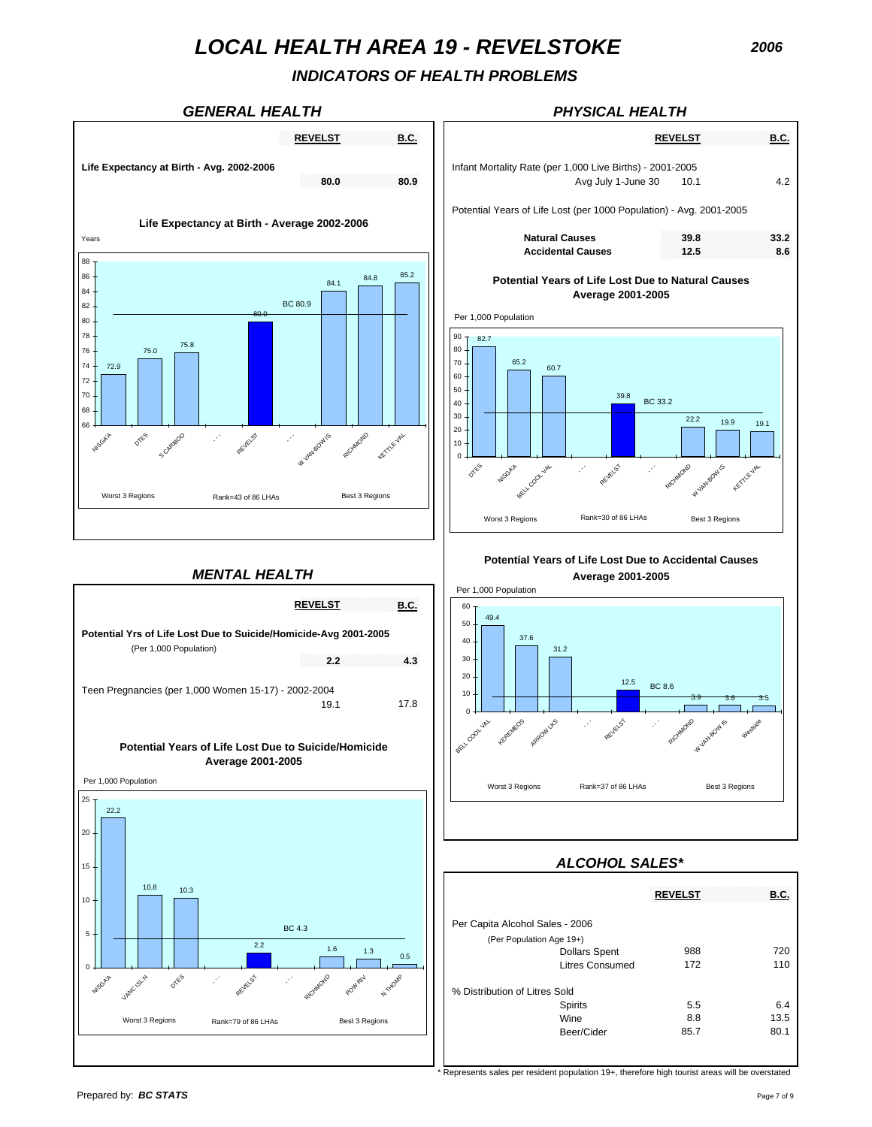## *INDICATORS OF HEALTH PROBLEMS*







| <b>REVELST</b>       | <b>B.C.</b> |                                                                                 | <b>REVELST</b> | <b>B.C.</b> |
|----------------------|-------------|---------------------------------------------------------------------------------|----------------|-------------|
| 80.0                 | 80.9        | Infant Mortality Rate (per 1,000 Live Births) - 2001-2005<br>Avg July 1-June 30 | 10.1           | 4.2         |
| age 2002-2006        |             | Potential Years of Life Lost (per 1000 Population) - Avg. 2001-2005             |                |             |
|                      |             | <b>Natural Causes</b>                                                           | 39.8           | 33.2        |
|                      |             | <b>Accidental Causes</b>                                                        | 12.5           | 8.6         |
| 84.8<br>84.1<br>80.9 | 85.2        | <b>Potential Years of Life Lost Due to Natural Causes</b><br>Average 2001-2005  |                |             |
|                      |             | Per 1,000 Population<br>90<br>82.7                                              |                |             |



**Potential Years of Life Lost Due to Accidental Causes**



## *ALCOHOL SALES\**

|                  |                                 | <b>REVELST</b> | <b>B.C.</b> |
|------------------|---------------------------------|----------------|-------------|
|                  | Per Capita Alcohol Sales - 2006 |                |             |
|                  | (Per Population Age 19+)        |                |             |
| $\cdot$ 3<br>0.5 | <b>Dollars Spent</b>            | 988            | 720         |
|                  | <b>Litres Consumed</b>          | 172            | 110         |
|                  |                                 |                |             |
| ATHOMP           | % Distribution of Litres Sold   |                |             |
|                  | Spirits                         | 5.5            | 6.4         |
| egions           | Wine                            | 8.8            | 13.5        |
|                  | Beer/Cider                      | 85.7           | 80.1        |
|                  |                                 |                |             |

 $\overline{\text{Represents}}$  sales per resident population 19+, therefore high tourist areas will be overstated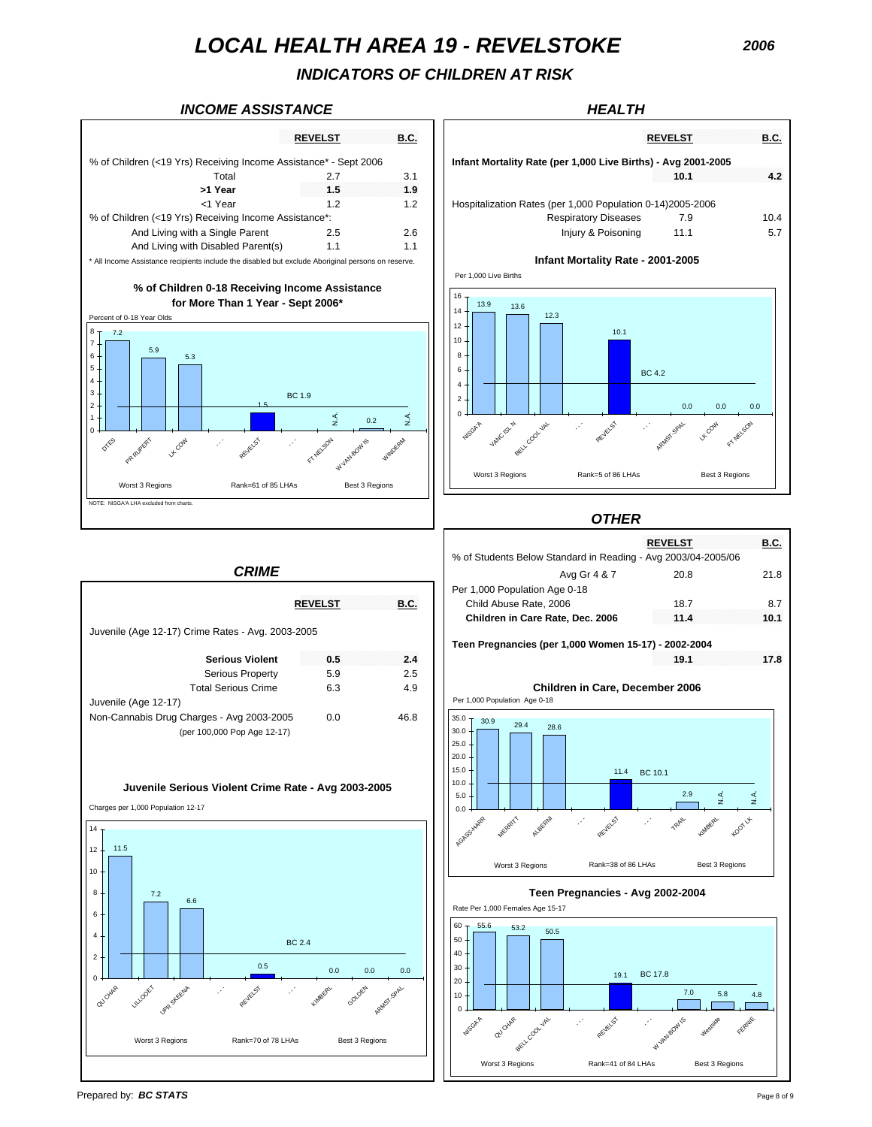*INDICATORS OF CHILDREN AT RISK*

0 2 4

**NISGA'A** 

VANC ISL N

BELL COOL VAL

- - - REVELST

### **INCOME ASSISTANCE HEALTH**



|                              | <b>REVELST</b>                                                  | <b>B.C.</b> | <b>REVELST</b>                                                | <b>B.C.</b> |
|------------------------------|-----------------------------------------------------------------|-------------|---------------------------------------------------------------|-------------|
|                              | eceiving Income Assistance* - Sept 2006                         |             | Infant Mortality Rate (per 1,000 Live Births) - Avg 2001-2005 |             |
| Total                        | 2.7                                                             | 3.1         | 10.1                                                          | 4.2         |
| >1 Year                      | 1.5                                                             | 1.9         |                                                               |             |
| <1 Year                      | 1.2                                                             | 1.2         | Hospitalization Rates (per 1,000 Population 0-14)2005-2006    |             |
| eceiving Income Assistance*: |                                                                 |             | <b>Respiratory Diseases</b><br>7.9                            | 10.4        |
| a Single Parent              | 2.5                                                             | 2.6         | Injury & Poisoning<br>11.1                                    | 5.7         |
| Disabled Parent(s)           | 1.1                                                             | 1.1         |                                                               |             |
|                              | include the disabled but exclude Aboriginal persons on reserve. |             | Infant Mortality Rate - 2001-2005                             |             |
|                              |                                                                 |             | Per 1.000 Live Births                                         |             |
| ore Than 1 Year - Sept 2006* | 0-18 Receiving Income Assistance                                |             | $16 -$<br>13.9<br>13.6<br>$14 -$<br>12.3                      |             |
|                              |                                                                 |             | 12<br>10.1<br>$10 -$<br>$8 -$<br>6<br><b>BC42</b>             |             |

- - - ARMST.SPAL



Worst 3 Regions Rank=5 of 86 LHAs Best 3 Regions





Juvenile (Age 12-17) Crime Rates - Avg. 2003-2005 Serious Property 5.9 2.5 Total Serious Crime 6.3 4.9 Juvenile (Age 12-17) Non-Cannabis Drug Charges - Avg 2003-2005 0.0 46.8 (per 100,000 Pop Age 12-17)  $\sim$   $\frac{1}{2}$   $\frac{1}{2}$   $\frac{1}{2}$   $\frac{1}{2}$   $\frac{1}{2}$   $\frac{1}{2}$   $\frac{1}{2}$   $\frac{1}{2}$   $\frac{1}{2}$   $\frac{1}{2}$   $\frac{1}{2}$   $\frac{1}{2}$   $\frac{1}{2}$   $\frac{1}{2}$   $\frac{1}{2}$   $\frac{1}{2}$   $\frac{1}{2}$   $\frac{1}{2}$   $\frac{1}{2}$   $\frac{1}{2}$   $\frac{1}{2}$   $\frac{1}{$ **Juvenile Serious Violent Crime Rate - Avg 2003-2005** 11.5  $\overline{7.2}$  6.6  $\frac{0.5}{0.0}$  0.0 0.0 0.0 BC 2.4  $\Omega$  $\overline{2}$ 4 6 8 10 12 14 QU CHAR LILLOOET Upp skeen - - - REVEL<sup>SS</sup> - - - KIMBERL GOLDEN ARMST SPAL Charges per 1,000 Population 12-17 Worst 3 Regions Rank=70 of 78 LHAs Best 3 Regions

*CRIME*

0.0 0.0 0.0

FT NELSON

L Cov